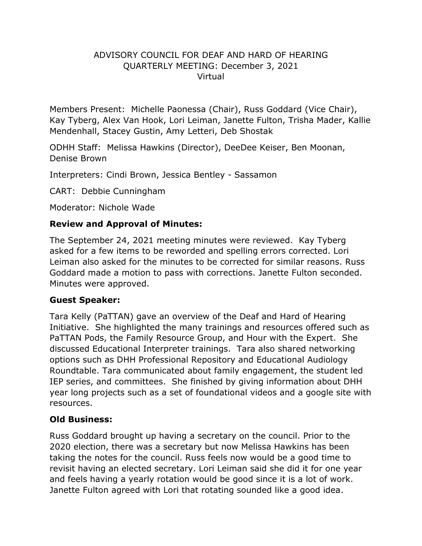### ADVISORY COUNCIL FOR DEAF AND HARD OF HEARING QUARTERLY MEETING: December 3, 2021 Virtual

Members Present: Michelle Paonessa (Chair), Russ Goddard (Vice Chair), Kay Tyberg, Alex Van Hook, Lori Leiman, Janette Fulton, Trisha Mader, Kallie Mendenhall, Stacey Gustin, Amy Letteri, Deb Shostak

ODHH Staff: Melissa Hawkins (Director), DeeDee Keiser, Ben Moonan, Denise Brown

Interpreters: Cindi Brown, Jessica Bentley - Sassamon

CART: Debbie Cunningham

Moderator: Nichole Wade

## **Review and Approval of Minutes:**

The September 24, 2021 meeting minutes were reviewed. Kay Tyberg asked for a few items to be reworded and spelling errors corrected. Lori Leiman also asked for the minutes to be corrected for similar reasons. Russ Goddard made a motion to pass with corrections. Janette Fulton seconded. Minutes were approved.

## **Guest Speaker:**

Tara Kelly (PaTTAN) gave an overview of the Deaf and Hard of Hearing Initiative. She highlighted the many trainings and resources offered such as PaTTAN Pods, the Family Resource Group, and Hour with the Expert. She discussed Educational Interpreter trainings. Tara also shared networking options such as DHH Professional Repository and Educational Audiology Roundtable. Tara communicated about family engagement, the student led IEP series, and committees. She finished by giving information about DHH year long projects such as a set of foundational videos and a google site with resources.

## **Old Business:**

Russ Goddard brought up having a secretary on the council. Prior to the 2020 election, there was a secretary but now Melissa Hawkins has been taking the notes for the council. Russ feels now would be a good time to revisit having an elected secretary. Lori Leiman said she did it for one year and feels having a yearly rotation would be good since it is a lot of work. Janette Fulton agreed with Lori that rotating sounded like a good idea.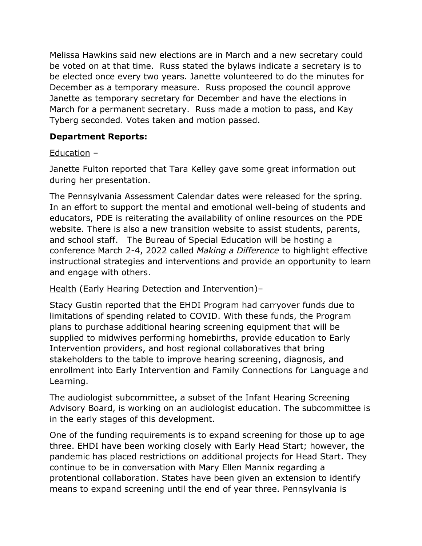Melissa Hawkins said new elections are in March and a new secretary could be voted on at that time. Russ stated the bylaws indicate a secretary is to be elected once every two years. Janette volunteered to do the minutes for December as a temporary measure. Russ proposed the council approve Janette as temporary secretary for December and have the elections in March for a permanent secretary. Russ made a motion to pass, and Kay Tyberg seconded. Votes taken and motion passed.

## **Department Reports:**

## Education –

Janette Fulton reported that Tara Kelley gave some great information out during her presentation.

The Pennsylvania Assessment Calendar dates were released for the spring. In an effort to support the mental and emotional well-being of students and educators, PDE is reiterating the availability of online resources on the PDE website. There is also a new transition website to assist students, parents, and school staff. The Bureau of Special Education will be hosting a conference March 2-4, 2022 called *Making a Difference* to highlight effective instructional strategies and interventions and provide an opportunity to learn and engage with others.

Health (Early Hearing Detection and Intervention)–

Stacy Gustin reported that the EHDI Program had carryover funds due to limitations of spending related to COVID. With these funds, the Program plans to purchase additional hearing screening equipment that will be supplied to midwives performing homebirths, provide education to Early Intervention providers, and host regional collaboratives that bring stakeholders to the table to improve hearing screening, diagnosis, and enrollment into Early Intervention and Family Connections for Language and Learning.

The audiologist subcommittee, a subset of the Infant Hearing Screening Advisory Board, is working on an audiologist education. The subcommittee is in the early stages of this development.

One of the funding requirements is to expand screening for those up to age three. EHDI have been working closely with Early Head Start; however, the pandemic has placed restrictions on additional projects for Head Start. They continue to be in conversation with Mary Ellen Mannix regarding a protentional collaboration. States have been given an extension to identify means to expand screening until the end of year three. Pennsylvania is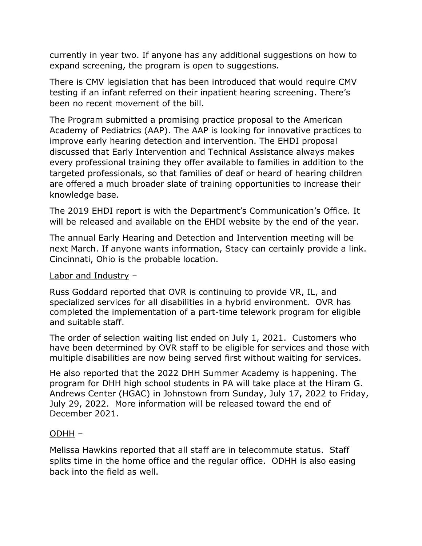currently in year two. If anyone has any additional suggestions on how to expand screening, the program is open to suggestions.

There is CMV legislation that has been introduced that would require CMV testing if an infant referred on their inpatient hearing screening. There's been no recent movement of the bill.

The Program submitted a promising practice proposal to the American Academy of Pediatrics (AAP). The AAP is looking for innovative practices to improve early hearing detection and intervention. The EHDI proposal discussed that Early Intervention and Technical Assistance always makes every professional training they offer available to families in addition to the targeted professionals, so that families of deaf or heard of hearing children are offered a much broader slate of training opportunities to increase their knowledge base.

The 2019 EHDI report is with the Department's Communication's Office. It will be released and available on the EHDI website by the end of the year.

The annual Early Hearing and Detection and Intervention meeting will be next March. If anyone wants information, Stacy can certainly provide a link. Cincinnati, Ohio is the probable location.

#### Labor and Industry –

Russ Goddard reported that OVR is continuing to provide VR, IL, and specialized services for all disabilities in a hybrid environment. OVR has completed the implementation of a part-time telework program for eligible and suitable staff.

The order of selection waiting list ended on July 1, 2021. Customers who have been determined by OVR staff to be eligible for services and those with multiple disabilities are now being served first without waiting for services.

He also reported that the 2022 DHH Summer Academy is happening. The program for DHH high school students in PA will take place at the Hiram G. Andrews Center (HGAC) in Johnstown from Sunday, July 17, 2022 to Friday, July 29, 2022. More information will be released toward the end of December 2021.

#### ODHH –

Melissa Hawkins reported that all staff are in telecommute status. Staff splits time in the home office and the regular office. ODHH is also easing back into the field as well.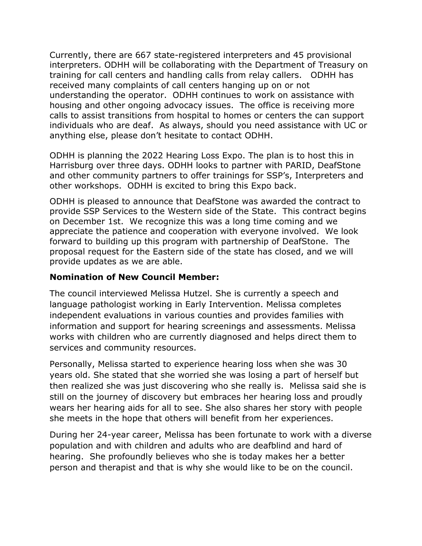Currently, there are 667 state-registered interpreters and 45 provisional interpreters. ODHH will be collaborating with the Department of Treasury on training for call centers and handling calls from relay callers. ODHH has received many complaints of call centers hanging up on or not understanding the operator. ODHH continues to work on assistance with housing and other ongoing advocacy issues. The office is receiving more calls to assist transitions from hospital to homes or centers the can support individuals who are deaf. As always, should you need assistance with UC or anything else, please don't hesitate to contact ODHH.

ODHH is planning the 2022 Hearing Loss Expo. The plan is to host this in Harrisburg over three days. ODHH looks to partner with PARID, DeafStone and other community partners to offer trainings for SSP's, Interpreters and other workshops. ODHH is excited to bring this Expo back.

ODHH is pleased to announce that DeafStone was awarded the contract to provide SSP Services to the Western side of the State. This contract begins on December 1st. We recognize this was a long time coming and we appreciate the patience and cooperation with everyone involved. We look forward to building up this program with partnership of DeafStone. The proposal request for the Eastern side of the state has closed, and we will provide updates as we are able.

### **Nomination of New Council Member:**

The council interviewed Melissa Hutzel. She is currently a speech and language pathologist working in Early Intervention. Melissa completes independent evaluations in various counties and provides families with information and support for hearing screenings and assessments. Melissa works with children who are currently diagnosed and helps direct them to services and community resources.

Personally, Melissa started to experience hearing loss when she was 30 years old. She stated that she worried she was losing a part of herself but then realized she was just discovering who she really is. Melissa said she is still on the journey of discovery but embraces her hearing loss and proudly wears her hearing aids for all to see. She also shares her story with people she meets in the hope that others will benefit from her experiences.

During her 24-year career, Melissa has been fortunate to work with a diverse population and with children and adults who are deafblind and hard of hearing. She profoundly believes who she is today makes her a better person and therapist and that is why she would like to be on the council.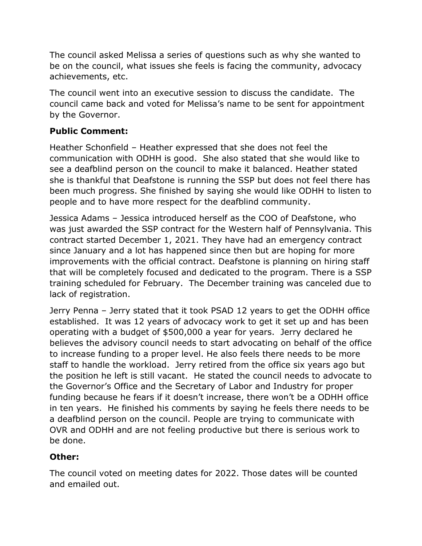The council asked Melissa a series of questions such as why she wanted to be on the council, what issues she feels is facing the community, advocacy achievements, etc.

The council went into an executive session to discuss the candidate. The council came back and voted for Melissa's name to be sent for appointment by the Governor.

# **Public Comment:**

Heather Schonfield – Heather expressed that she does not feel the communication with ODHH is good. She also stated that she would like to see a deafblind person on the council to make it balanced. Heather stated she is thankful that Deafstone is running the SSP but does not feel there has been much progress. She finished by saying she would like ODHH to listen to people and to have more respect for the deafblind community.

Jessica Adams – Jessica introduced herself as the COO of Deafstone, who was just awarded the SSP contract for the Western half of Pennsylvania. This contract started December 1, 2021. They have had an emergency contract since January and a lot has happened since then but are hoping for more improvements with the official contract. Deafstone is planning on hiring staff that will be completely focused and dedicated to the program. There is a SSP training scheduled for February. The December training was canceled due to lack of registration.

Jerry Penna – Jerry stated that it took PSAD 12 years to get the ODHH office established. It was 12 years of advocacy work to get it set up and has been operating with a budget of \$500,000 a year for years. Jerry declared he believes the advisory council needs to start advocating on behalf of the office to increase funding to a proper level. He also feels there needs to be more staff to handle the workload. Jerry retired from the office six years ago but the position he left is still vacant. He stated the council needs to advocate to the Governor's Office and the Secretary of Labor and Industry for proper funding because he fears if it doesn't increase, there won't be a ODHH office in ten years. He finished his comments by saying he feels there needs to be a deafblind person on the council. People are trying to communicate with OVR and ODHH and are not feeling productive but there is serious work to be done.

# **Other:**

The council voted on meeting dates for 2022. Those dates will be counted and emailed out.